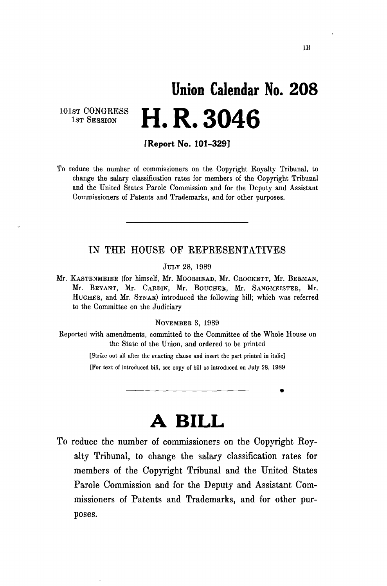## **Union Calendar No. 208 H. R. 3046**

101ST CONGRESS 1ST SESSION

**[Report No. 101-329]** 

To reduce the number of commissioners on the Copyright Koyalty Tribunal, to change the salary classification rates for members of the Copyright Tribunal and the United States Parole Commission and for the Deputy and Assistant Commissioners of Patents and Trademarks, and for other purposes.

## IN THE HOUSE OF REPRESENTATIVES

JULY 28, 1989

Mr. KASTENMEIEE (for himself, Mr. MOOEHEAD, Mr. CEOCKETT, Mr. BEEMAN, Mr. BRYANT, Mr. CARDIN, Mr. BOUCHER, Mr. SANGMEISTER, Mr. HUGHES, and Mr. SYNAE) introduced the following bill; which was referred to the Committee on the Judiciary

NOVEMBEE 3, 1989

Keported with amendments, committed to the Committee of the Whole House on the State of the Union, and ordered to be printed

> [Strike out all after the enacting clause and insert the part printed in italic] [For text of introduced bill, see copy of bill as introduced on July 28, 1989

> > **A BILL**

To reduce the number of commissioners on the Copyright Royalty Tribunal, to change the salary classification rates for members of the Copyright Tribunal and the United States Parole Commission and for the Deputy and Assistant Commissioners of Patents and Trademarks, and for other purposes.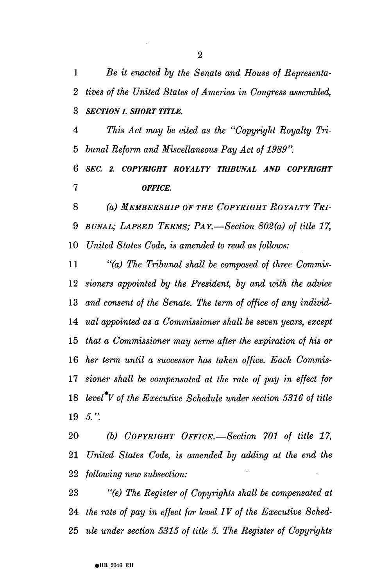*Be it enacted by the Senate and House of Representa- tives of the United States of America in Congress assembled, SECTION I. SHORT TITLE.* 

 *This Act may be cited as the "Copyright Royalty Tri- bunal Reform and Miscellaneous Pay Act of 1989".* 

 *SEC. 2. COPYRIGHT ROYALTY TRIBUNAL AND COPYRIGHT OFFICE.* 

 *(a) MEMBERSHIP OF THE COPYRIGHT ROYALTY TRI- BUNAL; LAPSED TERMS; PAY.*—*Section 802(a) of title 17, United States Code, is amended to read as follows:* 

 *"(a) The Tribunal shall be composed of three Commis- sioners appointed by the President, by and with the advice and consent of the Senate. The term of office of any individ- ual appointed as a Commissioner shall be seven years, except that a Commissioner may serve after the expiration of his or her term until a successor has taken office. Each Commis- sioner shall be compensated at the rate of pay in effect for level V of the Executive Schedule under section 5316 of title 5.'\* 

 *(b) COPYRIGHT OFFICE.*—*Section 701 of title 17, United States Code, is amended by adding at the end the following new subsection:* 

 *"(e) The Register of Copyrights shall be compensated at the rate of pay in effect for level IV of the Executive Sched- ule under section 5315 of title 5. The Register of Copyrights*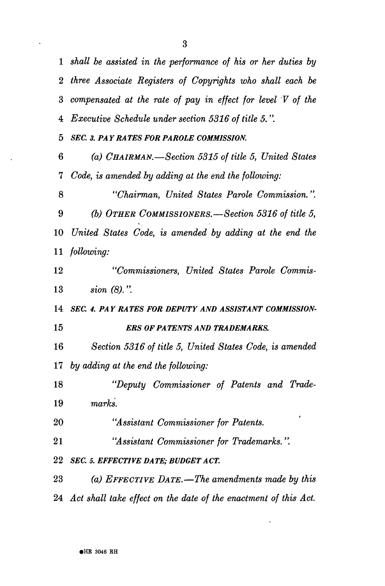*shall be assisted in the performance of his or her duties by three Associate Registers of Copyrights who shall each be compensated at the rate of pay in effect for level V of the Executive Schedule under section 5316 of title 5.". SEC 3. PA Y RA TES FOR PAROLE COMMISSION. (a) CHAIRMAN.*—*Section 5315 of title 5, United States Code, is amended by adding at the end the following: "Chairman, United States Parole Commission.". (b) OTHER COMMISSIONERS.*—*Section 5316 of title 5, United States Code, is amended by adding at the end the* 

 *following:* 

 *"Commissioners, United States Parole Commis- sion (8).".* 

 *SEC. 4. PAY RATES FOR DEPUTY AND ASSISTANT COMMISSION- ERS OF PA TENTS AND TRADEMARKS.* 

 *Section 5316 of title 5, United States Code, is amended by adding at the end the following:* 

 *"Deputy Commissioner of Patents and Trade- marks.* 

 *"Assistant Commissioner for Patents.* 

 *"Assistant Commissioner for Trademarks.".* 

**2 2** *SEC. 5. EFFECTIVE DA TE; BUDGET A CT.* 

 *(a) EFFECTIVE DATE.*—*The amendments made by this Act shall take effect on the date of the enactment of this Act.*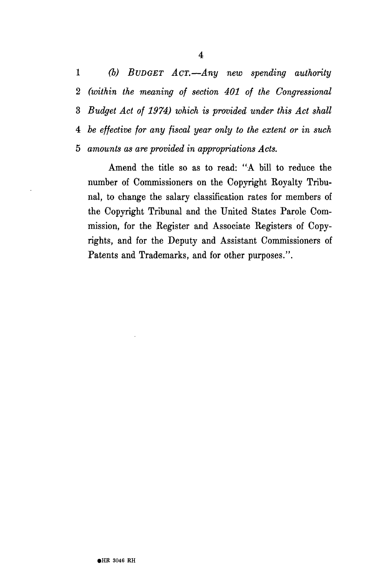*(b) BUDGET ACT.*—*Any new spending authority (within the meaning of section 401 of the Congressional Budget Act of 1974) which is provided under this Act shall be effective for any fiscal year only to the extent or in such 5 amounts as are provided in appropriations Acts.* 

Amend the title so as to read: "A bill to reduce the number of Commissioners on the Copyright Royalty Tribunal, to change the salary classification rates for members of the Copyright Tribunal and the United States Parole Commission, for the Register and Associate Registers of Copyrights, and for the Deputy and Assistant Commissioners of Patents and Trademarks, and for other purposes.".